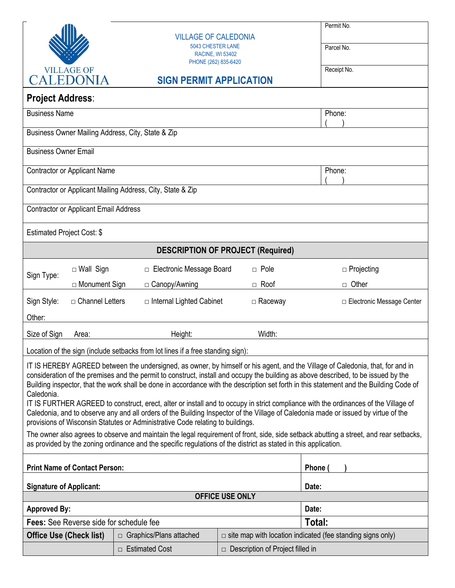|                                                                                                                                                                                                                                                                                                                                                                                                                               |                                                                                                     |                                                 | Permit No.                  |  |
|-------------------------------------------------------------------------------------------------------------------------------------------------------------------------------------------------------------------------------------------------------------------------------------------------------------------------------------------------------------------------------------------------------------------------------|-----------------------------------------------------------------------------------------------------|-------------------------------------------------|-----------------------------|--|
|                                                                                                                                                                                                                                                                                                                                                                                                                               | <b>VILLAGE OF CALEDONIA</b><br>5043 CHESTER LANE                                                    |                                                 | Parcel No.                  |  |
|                                                                                                                                                                                                                                                                                                                                                                                                                               |                                                                                                     | <b>RACINE, WI 53402</b><br>PHONE (262) 835-6420 |                             |  |
| <b>VILLAGE OF</b><br>CALEDONIA                                                                                                                                                                                                                                                                                                                                                                                                | <b>SIGN PERMIT APPLICATION</b>                                                                      |                                                 | Receipt No.                 |  |
| <b>Project Address:</b>                                                                                                                                                                                                                                                                                                                                                                                                       |                                                                                                     |                                                 |                             |  |
| <b>Business Name</b>                                                                                                                                                                                                                                                                                                                                                                                                          |                                                                                                     |                                                 | Phone:                      |  |
| Business Owner Mailing Address, City, State & Zip                                                                                                                                                                                                                                                                                                                                                                             |                                                                                                     |                                                 |                             |  |
| <b>Business Owner Email</b>                                                                                                                                                                                                                                                                                                                                                                                                   |                                                                                                     |                                                 |                             |  |
| <b>Contractor or Applicant Name</b>                                                                                                                                                                                                                                                                                                                                                                                           |                                                                                                     |                                                 | Phone:                      |  |
| Contractor or Applicant Mailing Address, City, State & Zip                                                                                                                                                                                                                                                                                                                                                                    |                                                                                                     |                                                 |                             |  |
| <b>Contractor or Applicant Email Address</b>                                                                                                                                                                                                                                                                                                                                                                                  |                                                                                                     |                                                 |                             |  |
| Estimated Project Cost: \$                                                                                                                                                                                                                                                                                                                                                                                                    |                                                                                                     |                                                 |                             |  |
| <b>DESCRIPTION OF PROJECT (Required)</b>                                                                                                                                                                                                                                                                                                                                                                                      |                                                                                                     |                                                 |                             |  |
| $\Box$ Wall Sign<br>Sign Type:                                                                                                                                                                                                                                                                                                                                                                                                | □ Electronic Message Board                                                                          | $\Box$ Pole                                     | □ Projecting                |  |
| □ Monument Sign                                                                                                                                                                                                                                                                                                                                                                                                               | □ Canopy/Awning                                                                                     | $\Box$ Roof                                     | □ Other                     |  |
| Sign Style:<br>□ Channel Letters                                                                                                                                                                                                                                                                                                                                                                                              | $\Box$ Internal Lighted Cabinet                                                                     | $\Box$ Raceway                                  | □ Electronic Message Center |  |
| Other:                                                                                                                                                                                                                                                                                                                                                                                                                        |                                                                                                     |                                                 |                             |  |
| Size of Sign<br>Area:                                                                                                                                                                                                                                                                                                                                                                                                         | Height:                                                                                             | Width:                                          |                             |  |
| Location of the sign (include setbacks from lot lines if a free standing sign):                                                                                                                                                                                                                                                                                                                                               |                                                                                                     |                                                 |                             |  |
| IT IS HEREBY AGREED between the undersigned, as owner, by himself or his agent, and the Village of Caledonia, that, for and in<br>consideration of the premises and the permit to construct, install and occupy the building as above described, to be issued by the<br>Building inspector, that the work shall be done in accordance with the description set forth in this statement and the Building Code of<br>Caledonia. |                                                                                                     |                                                 |                             |  |
| IT IS FURTHER AGREED to construct, erect, alter or install and to occupy in strict compliance with the ordinances of the Village of<br>Caledonia, and to observe any and all orders of the Building Inspector of the Village of Caledonia made or issued by virtue of the<br>provisions of Wisconsin Statutes or Administrative Code relating to buildings.                                                                   |                                                                                                     |                                                 |                             |  |
| The owner also agrees to observe and maintain the legal requirement of front, side, side setback abutting a street, and rear setbacks,<br>as provided by the zoning ordinance and the specific regulations of the district as stated in this application.                                                                                                                                                                     |                                                                                                     |                                                 |                             |  |
| <b>Print Name of Contact Person:</b>                                                                                                                                                                                                                                                                                                                                                                                          |                                                                                                     |                                                 | Phone                       |  |
| <b>Signature of Applicant:</b>                                                                                                                                                                                                                                                                                                                                                                                                |                                                                                                     |                                                 | Date:                       |  |
| <b>OFFICE USE ONLY</b><br><b>Approved By:</b><br>Date:                                                                                                                                                                                                                                                                                                                                                                        |                                                                                                     |                                                 |                             |  |
| <b>Fees:</b> See Reverse side for schedule fee                                                                                                                                                                                                                                                                                                                                                                                |                                                                                                     |                                                 | Total:                      |  |
| <b>Office Use (Check list)</b>                                                                                                                                                                                                                                                                                                                                                                                                | $\Box$ site map with location indicated (fee standing signs only)<br>$\Box$ Graphics/Plans attached |                                                 |                             |  |
| □ Estimated Cost<br>$\Box$ Description of Project filled in                                                                                                                                                                                                                                                                                                                                                                   |                                                                                                     |                                                 |                             |  |